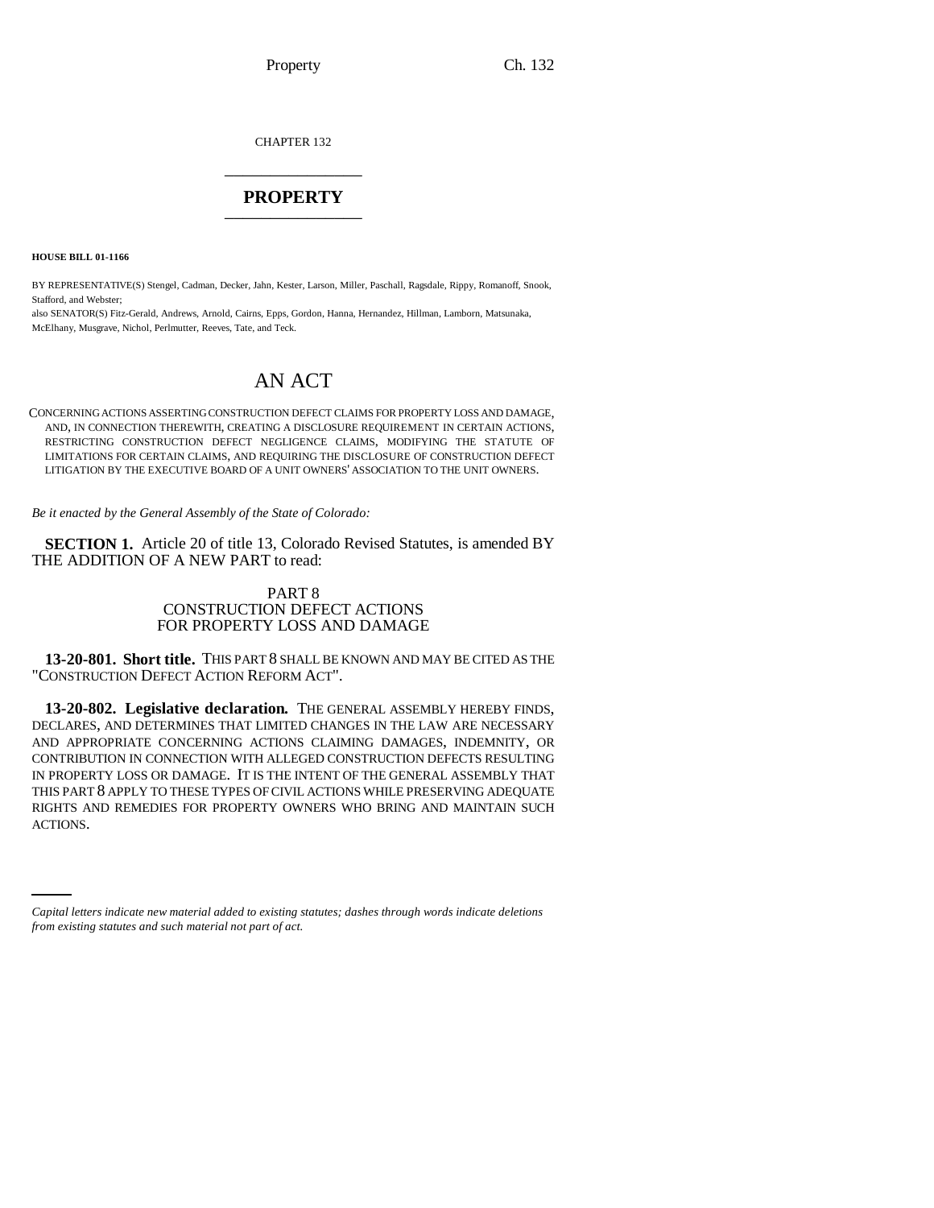CHAPTER 132 \_\_\_\_\_\_\_\_\_\_\_\_\_\_\_

## **PROPERTY** \_\_\_\_\_\_\_\_\_\_\_\_\_\_\_

**HOUSE BILL 01-1166**

BY REPRESENTATIVE(S) Stengel, Cadman, Decker, Jahn, Kester, Larson, Miller, Paschall, Ragsdale, Rippy, Romanoff, Snook, Stafford, and Webster;

also SENATOR(S) Fitz-Gerald, Andrews, Arnold, Cairns, Epps, Gordon, Hanna, Hernandez, Hillman, Lamborn, Matsunaka, McElhany, Musgrave, Nichol, Perlmutter, Reeves, Tate, and Teck.

# AN ACT

CONCERNING ACTIONS ASSERTING CONSTRUCTION DEFECT CLAIMS FOR PROPERTY LOSS AND DAMAGE, AND, IN CONNECTION THEREWITH, CREATING A DISCLOSURE REQUIREMENT IN CERTAIN ACTIONS, RESTRICTING CONSTRUCTION DEFECT NEGLIGENCE CLAIMS, MODIFYING THE STATUTE OF LIMITATIONS FOR CERTAIN CLAIMS, AND REQUIRING THE DISCLOSURE OF CONSTRUCTION DEFECT LITIGATION BY THE EXECUTIVE BOARD OF A UNIT OWNERS' ASSOCIATION TO THE UNIT OWNERS.

*Be it enacted by the General Assembly of the State of Colorado:*

**SECTION 1.** Article 20 of title 13, Colorado Revised Statutes, is amended BY THE ADDITION OF A NEW PART to read:

### PART 8 CONSTRUCTION DEFECT ACTIONS FOR PROPERTY LOSS AND DAMAGE

**13-20-801. Short title.** THIS PART 8 SHALL BE KNOWN AND MAY BE CITED AS THE "CONSTRUCTION DEFECT ACTION REFORM ACT".

RIGHTS A<br>ACTIONS. **13-20-802. Legislative declaration.** THE GENERAL ASSEMBLY HEREBY FINDS, DECLARES, AND DETERMINES THAT LIMITED CHANGES IN THE LAW ARE NECESSARY AND APPROPRIATE CONCERNING ACTIONS CLAIMING DAMAGES, INDEMNITY, OR CONTRIBUTION IN CONNECTION WITH ALLEGED CONSTRUCTION DEFECTS RESULTING IN PROPERTY LOSS OR DAMAGE. IT IS THE INTENT OF THE GENERAL ASSEMBLY THAT THIS PART 8 APPLY TO THESE TYPES OF CIVIL ACTIONS WHILE PRESERVING ADEQUATE RIGHTS AND REMEDIES FOR PROPERTY OWNERS WHO BRING AND MAINTAIN SUCH

*Capital letters indicate new material added to existing statutes; dashes through words indicate deletions from existing statutes and such material not part of act.*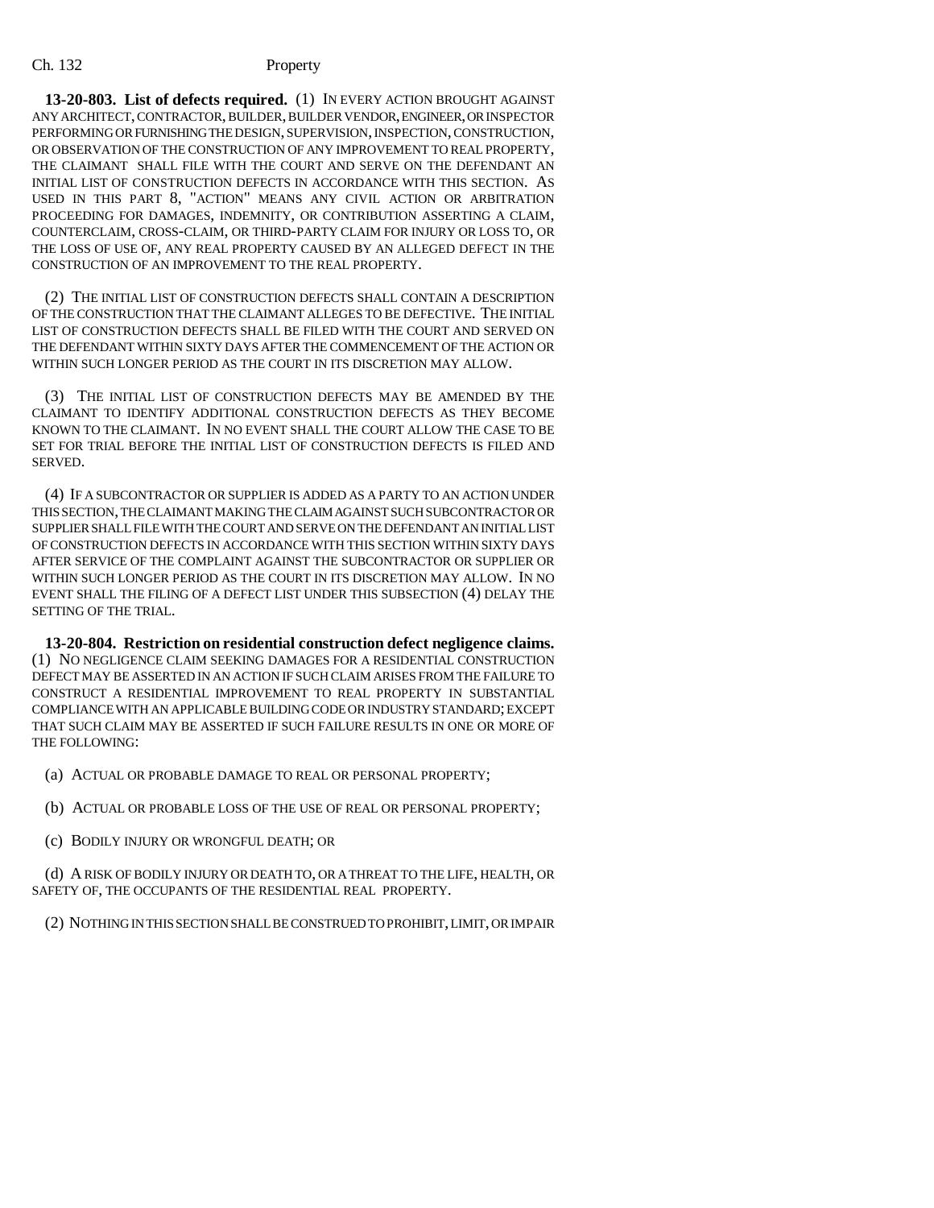**13-20-803. List of defects required.** (1) IN EVERY ACTION BROUGHT AGAINST ANY ARCHITECT, CONTRACTOR, BUILDER, BUILDER VENDOR, ENGINEER, OR INSPECTOR PERFORMING OR FURNISHING THE DESIGN, SUPERVISION, INSPECTION, CONSTRUCTION, OR OBSERVATION OF THE CONSTRUCTION OF ANY IMPROVEMENT TO REAL PROPERTY, THE CLAIMANT SHALL FILE WITH THE COURT AND SERVE ON THE DEFENDANT AN INITIAL LIST OF CONSTRUCTION DEFECTS IN ACCORDANCE WITH THIS SECTION. AS USED IN THIS PART 8, "ACTION" MEANS ANY CIVIL ACTION OR ARBITRATION PROCEEDING FOR DAMAGES, INDEMNITY, OR CONTRIBUTION ASSERTING A CLAIM, COUNTERCLAIM, CROSS-CLAIM, OR THIRD-PARTY CLAIM FOR INJURY OR LOSS TO, OR THE LOSS OF USE OF, ANY REAL PROPERTY CAUSED BY AN ALLEGED DEFECT IN THE CONSTRUCTION OF AN IMPROVEMENT TO THE REAL PROPERTY.

(2) THE INITIAL LIST OF CONSTRUCTION DEFECTS SHALL CONTAIN A DESCRIPTION OF THE CONSTRUCTION THAT THE CLAIMANT ALLEGES TO BE DEFECTIVE. THE INITIAL LIST OF CONSTRUCTION DEFECTS SHALL BE FILED WITH THE COURT AND SERVED ON THE DEFENDANT WITHIN SIXTY DAYS AFTER THE COMMENCEMENT OF THE ACTION OR WITHIN SUCH LONGER PERIOD AS THE COURT IN ITS DISCRETION MAY ALLOW.

(3) THE INITIAL LIST OF CONSTRUCTION DEFECTS MAY BE AMENDED BY THE CLAIMANT TO IDENTIFY ADDITIONAL CONSTRUCTION DEFECTS AS THEY BECOME KNOWN TO THE CLAIMANT. IN NO EVENT SHALL THE COURT ALLOW THE CASE TO BE SET FOR TRIAL BEFORE THE INITIAL LIST OF CONSTRUCTION DEFECTS IS FILED AND SERVED.

(4) IF A SUBCONTRACTOR OR SUPPLIER IS ADDED AS A PARTY TO AN ACTION UNDER THIS SECTION, THE CLAIMANT MAKING THE CLAIM AGAINST SUCH SUBCONTRACTOR OR SUPPLIER SHALL FILE WITH THE COURT AND SERVE ON THE DEFENDANT AN INITIAL LIST OF CONSTRUCTION DEFECTS IN ACCORDANCE WITH THIS SECTION WITHIN SIXTY DAYS AFTER SERVICE OF THE COMPLAINT AGAINST THE SUBCONTRACTOR OR SUPPLIER OR WITHIN SUCH LONGER PERIOD AS THE COURT IN ITS DISCRETION MAY ALLOW. IN NO EVENT SHALL THE FILING OF A DEFECT LIST UNDER THIS SUBSECTION (4) DELAY THE SETTING OF THE TRIAL.

**13-20-804. Restriction on residential construction defect negligence claims.** (1) NO NEGLIGENCE CLAIM SEEKING DAMAGES FOR A RESIDENTIAL CONSTRUCTION DEFECT MAY BE ASSERTED IN AN ACTION IF SUCH CLAIM ARISES FROM THE FAILURE TO CONSTRUCT A RESIDENTIAL IMPROVEMENT TO REAL PROPERTY IN SUBSTANTIAL COMPLIANCE WITH AN APPLICABLE BUILDING CODE OR INDUSTRY STANDARD; EXCEPT THAT SUCH CLAIM MAY BE ASSERTED IF SUCH FAILURE RESULTS IN ONE OR MORE OF THE FOLLOWING:

(a) ACTUAL OR PROBABLE DAMAGE TO REAL OR PERSONAL PROPERTY;

(b) ACTUAL OR PROBABLE LOSS OF THE USE OF REAL OR PERSONAL PROPERTY;

(c) BODILY INJURY OR WRONGFUL DEATH; OR

(d) A RISK OF BODILY INJURY OR DEATH TO, OR A THREAT TO THE LIFE, HEALTH, OR SAFETY OF, THE OCCUPANTS OF THE RESIDENTIAL REAL PROPERTY.

(2) NOTHING IN THIS SECTION SHALL BE CONSTRUED TO PROHIBIT, LIMIT, OR IMPAIR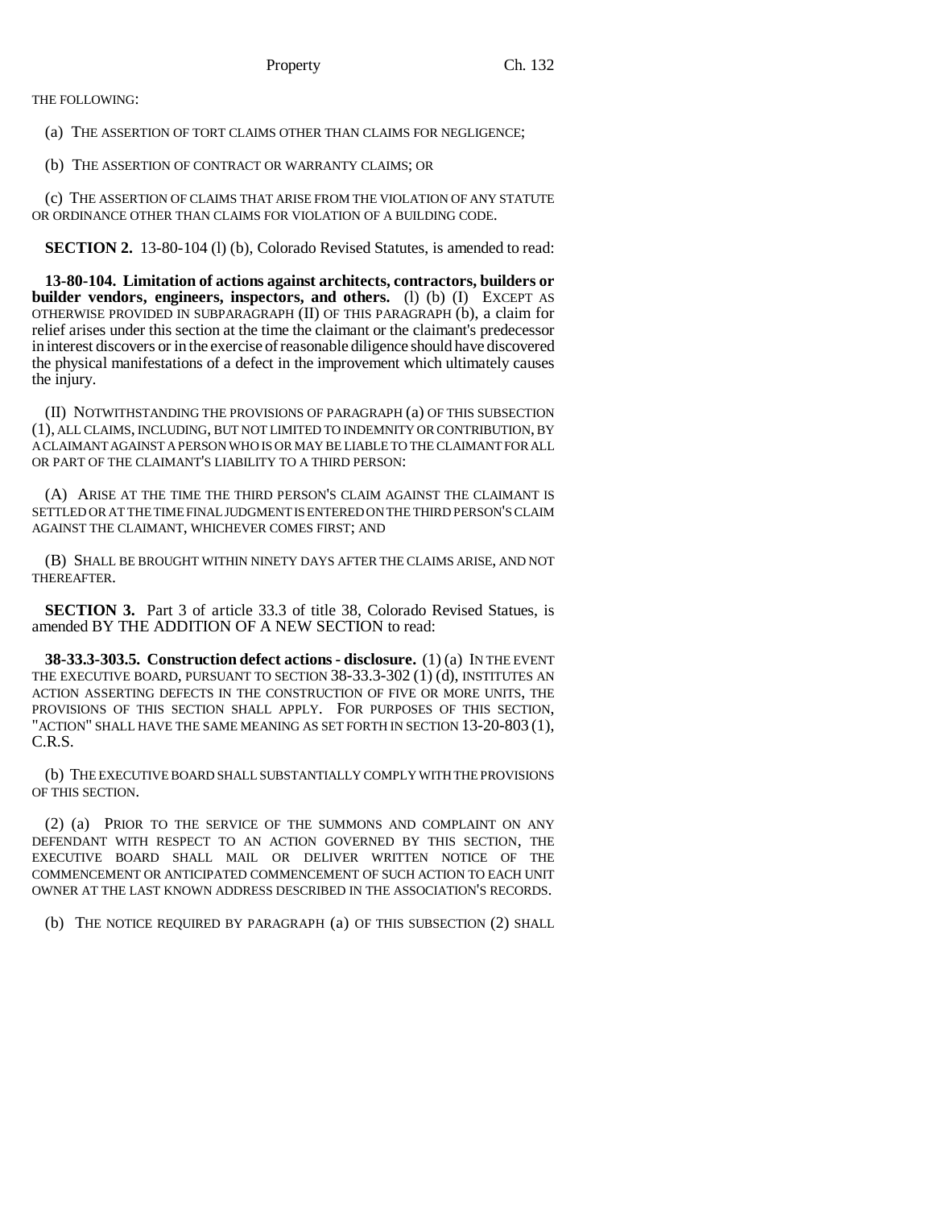THE FOLLOWING:

(a) THE ASSERTION OF TORT CLAIMS OTHER THAN CLAIMS FOR NEGLIGENCE;

(b) THE ASSERTION OF CONTRACT OR WARRANTY CLAIMS; OR

(c) THE ASSERTION OF CLAIMS THAT ARISE FROM THE VIOLATION OF ANY STATUTE OR ORDINANCE OTHER THAN CLAIMS FOR VIOLATION OF A BUILDING CODE.

**SECTION 2.** 13-80-104 (l) (b), Colorado Revised Statutes, is amended to read:

**13-80-104. Limitation of actions against architects, contractors, builders or builder vendors, engineers, inspectors, and others.** (l) (b) (I) EXCEPT AS OTHERWISE PROVIDED IN SUBPARAGRAPH (II) OF THIS PARAGRAPH (b), a claim for relief arises under this section at the time the claimant or the claimant's predecessor in interest discovers or in the exercise of reasonable diligence should have discovered the physical manifestations of a defect in the improvement which ultimately causes the injury.

(II) NOTWITHSTANDING THE PROVISIONS OF PARAGRAPH (a) OF THIS SUBSECTION (1), ALL CLAIMS, INCLUDING, BUT NOT LIMITED TO INDEMNITY OR CONTRIBUTION, BY A CLAIMANT AGAINST A PERSON WHO IS OR MAY BE LIABLE TO THE CLAIMANT FOR ALL OR PART OF THE CLAIMANT'S LIABILITY TO A THIRD PERSON:

(A) ARISE AT THE TIME THE THIRD PERSON'S CLAIM AGAINST THE CLAIMANT IS SETTLED OR AT THE TIME FINAL JUDGMENT IS ENTERED ON THE THIRD PERSON'S CLAIM AGAINST THE CLAIMANT, WHICHEVER COMES FIRST; AND

(B) SHALL BE BROUGHT WITHIN NINETY DAYS AFTER THE CLAIMS ARISE, AND NOT THEREAFTER.

**SECTION 3.** Part 3 of article 33.3 of title 38, Colorado Revised Statues, is amended BY THE ADDITION OF A NEW SECTION to read:

**38-33.3-303.5. Construction defect actions - disclosure.** (1) (a) IN THE EVENT THE EXECUTIVE BOARD, PURSUANT TO SECTION 38-33.3-302 (1) (d), INSTITUTES AN ACTION ASSERTING DEFECTS IN THE CONSTRUCTION OF FIVE OR MORE UNITS, THE PROVISIONS OF THIS SECTION SHALL APPLY. FOR PURPOSES OF THIS SECTION, "ACTION" SHALL HAVE THE SAME MEANING AS SET FORTH IN SECTION 13-20-803 (1), C.R.S.

(b) THE EXECUTIVE BOARD SHALL SUBSTANTIALLY COMPLY WITH THE PROVISIONS OF THIS SECTION.

(2) (a) PRIOR TO THE SERVICE OF THE SUMMONS AND COMPLAINT ON ANY DEFENDANT WITH RESPECT TO AN ACTION GOVERNED BY THIS SECTION, THE EXECUTIVE BOARD SHALL MAIL OR DELIVER WRITTEN NOTICE OF THE COMMENCEMENT OR ANTICIPATED COMMENCEMENT OF SUCH ACTION TO EACH UNIT OWNER AT THE LAST KNOWN ADDRESS DESCRIBED IN THE ASSOCIATION'S RECORDS.

(b) THE NOTICE REQUIRED BY PARAGRAPH (a) OF THIS SUBSECTION (2) SHALL